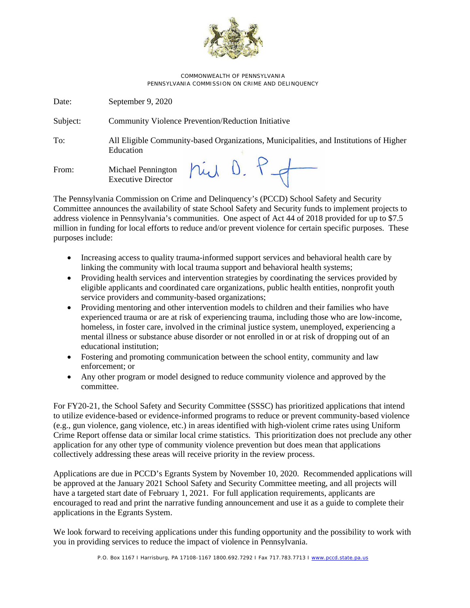

COMMONWEALTH OF PENNSYLVANIA PENNSYLVANIA COMMISSION ON CRIME AND DELINQUENCY

Date: September 9, 2020 Subject: Community Violence Prevention/Reduction Initiative To: All Eligible Community-based Organizations, Municipalities, and Institutions of Higher Education hid D. P.f From: Michael Pennington Executive Director

The Pennsylvania Commission on Crime and Delinquency's (PCCD) School Safety and Security Committee announces the availability of state School Safety and Security funds to implement projects to address violence in Pennsylvania's communities. One aspect of Act 44 of 2018 provided for up to \$7.5 million in funding for local efforts to reduce and/or prevent violence for certain specific purposes. These purposes include:

- Increasing access to quality trauma-informed support services and behavioral health care by linking the community with local trauma support and behavioral health systems;
- Providing health services and intervention strategies by coordinating the services provided by eligible applicants and coordinated care organizations, public health entities, nonprofit youth service providers and community-based organizations;
- Providing mentoring and other intervention models to children and their families who have experienced trauma or are at risk of experiencing trauma, including those who are low-income, homeless, in foster care, involved in the criminal justice system, unemployed, experiencing a mental illness or substance abuse disorder or not enrolled in or at risk of dropping out of an educational institution;
- Fostering and promoting communication between the school entity, community and law enforcement; or
- Any other program or model designed to reduce community violence and approved by the committee.

For FY20-21, the School Safety and Security Committee (SSSC) has prioritized applications that intend to utilize evidence-based or evidence-informed programs to reduce or prevent community-based violence (e.g., gun violence, gang violence, etc.) in areas identified with high-violent crime rates using Uniform Crime Report offense data or similar local crime statistics. This prioritization does not preclude any other application for any other type of community violence prevention but does mean that applications collectively addressing these areas will receive priority in the review process.

Applications are due in PCCD's Egrants System by November 10, 2020. Recommended applications will be approved at the January 2021 School Safety and Security Committee meeting, and all projects will have a targeted start date of February 1, 2021. For full application requirements, applicants are encouraged to read and print the narrative funding announcement and use it as a guide to complete their applications in the Egrants System.

We look forward to receiving applications under this funding opportunity and the possibility to work with you in providing services to reduce the impact of violence in Pennsylvania.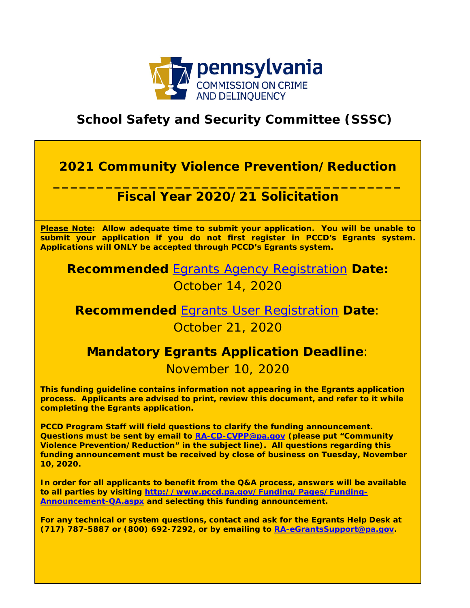

# **School Safety and Security Committee (SSSC)**

# **2021 Community Violence Prevention/Reduction**

## **\_\_\_\_\_\_\_\_\_\_\_\_\_\_\_\_\_\_\_\_\_\_\_\_\_\_\_\_\_\_\_\_\_\_\_\_\_\_\_\_ Fiscal Year 2020/21 Solicitation**

**Please Note: Allow adequate time to submit your application. You will be unable to submit your application if you do not first register in PCCD's Egrants system. Applications will ONLY be accepted through PCCD's Egrants system.** 

**Recommended** [Egrants Agency Registration](https://www.pccd.pa.gov/Funding/Pages/How-to-Get-and-Manage-Funds.aspx) **Date:**  October 14, 2020

**Recommended** [Egrants User Registration](https://www.pccd.pa.gov/Funding/Pages/Egrants-Home.aspx) **Date**: October 21, 2020

## **Mandatory Egrants Application Deadline**:

## November 10, 2020

**This funding guideline contains information not appearing in the Egrants application process. Applicants are advised to print, review this document, and refer to it while completing the Egrants application.** 

**PCCD Program Staff will field questions to clarify the funding announcement. Questions must be sent by email to [RA-CD-CVPP@pa.gov](mailto:RA-CD-CVPP@pa.gov) (please put "Community Violence Prevention/Reduction" in the subject line). All questions regarding this funding announcement must be received by close of business on Tuesday, November 10, 2020.** 

**In order for all applicants to benefit from the Q&A process, answers will be available to all parties by visiting [http://www.pccd.pa.gov/Funding/Pages/Funding-](http://www.pccd.pa.gov/Funding/Pages/Funding-Announcement-QA.aspx)[Announcement-QA.aspx](http://www.pccd.pa.gov/Funding/Pages/Funding-Announcement-QA.aspx) and selecting this funding announcement.** 

**For any technical or system questions, contact and ask for the Egrants Help Desk at (717) 787-5887 or (800) 692-7292, or by emailing to [RA-eGrantsSupport@pa.gov.](mailto:RA-eGrantsSupport@pa.gov)**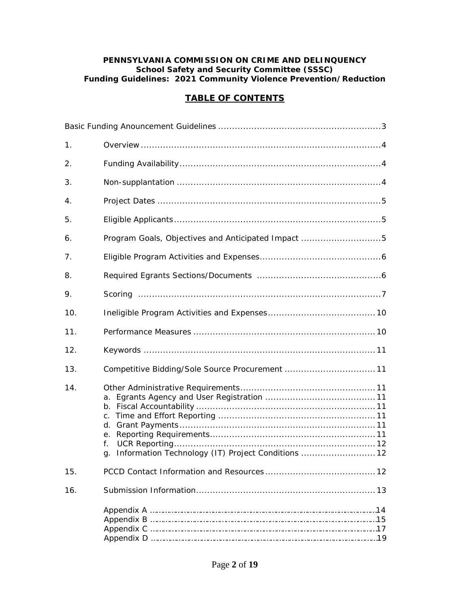#### **PENNSYLVANIA COMMISSION ON CRIME AND DELINQUENCY School Safety and Security Committee (SSSC) Funding Guidelines: 2021 Community Violence Prevention/Reduction**

## **TABLE OF CONTENTS**

| 1.  |                                                                                                    |
|-----|----------------------------------------------------------------------------------------------------|
| 2.  |                                                                                                    |
| 3.  |                                                                                                    |
| 4.  |                                                                                                    |
| 5.  |                                                                                                    |
| 6.  | Program Goals, Objectives and Anticipated Impact 5                                                 |
| 7.  |                                                                                                    |
| 8.  |                                                                                                    |
| 9.  |                                                                                                    |
| 10. |                                                                                                    |
| 11. |                                                                                                    |
| 12. |                                                                                                    |
| 13. | Competitive Bidding/Sole Source Procurement  11                                                    |
| 14. | a.<br>$\mathsf{C}$ .<br>d.<br>е.<br>f.<br>Information Technology (IT) Project Conditions  12<br>q. |
| 15. |                                                                                                    |
| 16. |                                                                                                    |
|     |                                                                                                    |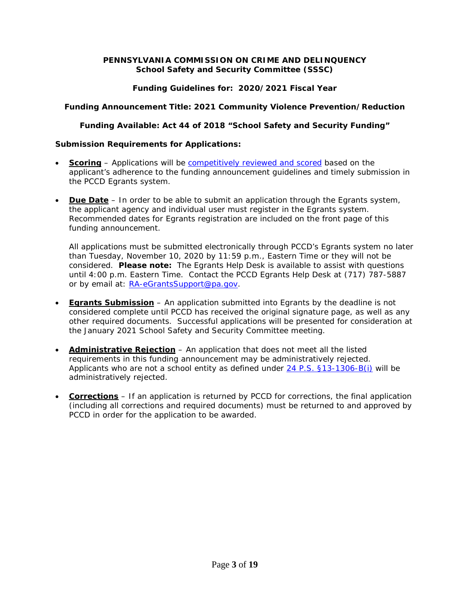#### **PENNSYLVANIA COMMISSION ON CRIME AND DELINQUENCY School Safety and Security Committee (SSSC)**

## **Funding Guidelines for: 2020/2021 Fiscal Year**

## **Funding Announcement Title: 2021 Community Violence Prevention/Reduction**

## **Funding Available: Act 44 of 2018 "School Safety and Security Funding"**

## **Submission Requirements for Applications:**

- **Scoring** Applications will be [competitively reviewed and scored](https://www.pccd.pa.gov/Pages/Overview-of-the-Competitive-Grant-Process.aspx) based on the applicant's adherence to the funding announcement guidelines and timely submission in the PCCD Egrants system.
- **Due Date** In order to be able to submit an application through the Egrants system, the applicant agency and individual user must register in the Egrants system. Recommended dates for Egrants registration are included on the front page of this funding announcement.

All applications must be submitted electronically through PCCD's Egrants system no later than Tuesday, November 10, 2020 by 11:59 p.m., Eastern Time or they will not be considered. **Please note:** The Egrants Help Desk is available to assist with questions until 4:00 p.m. Eastern Time. Contact the PCCD Egrants Help Desk at (717) 787-5887 or by email at: [RA-eGrantsSupport@pa.gov.](mailto:RA-eGrantsSupport@pa.gov)

- **Egrants Submission** An application submitted into Egrants by the deadline is not considered complete until PCCD has received the original signature page, as well as any other required documents. Successful applications will be presented for consideration at the January 2021 School Safety and Security Committee meeting.
- **Administrative Rejection** An application that does not meet all the listed requirements in this funding announcement may be administratively rejected. Applicants who are not a school entity as defined under [24 P.S. §13-1306-B\(i\)](https://www.legis.state.pa.us/cfdocs/legis/LI/uconsCheck.cfm?txtType=HTM&yr=1949&sessInd=0&smthLwInd=0&act=14&chpt=13B&sctn=6&subsctn=0) will be administratively rejected.
- **Corrections** If an application is returned by PCCD for corrections, the final application (including all corrections and required documents) must be returned to and approved by PCCD in order for the application to be awarded.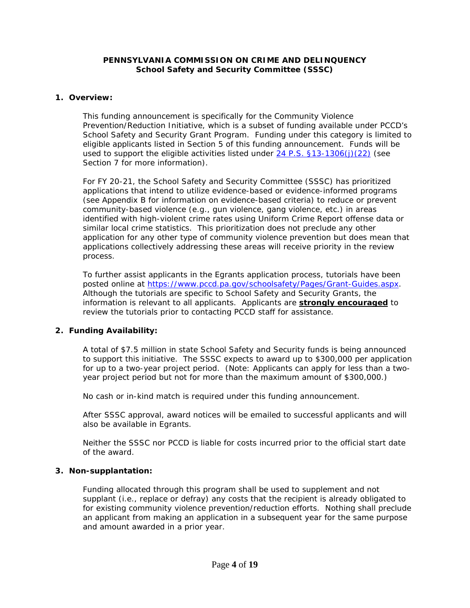#### **PENNSYLVANIA COMMISSION ON CRIME AND DELINQUENCY School Safety and Security Committee (SSSC)**

### **1. Overview:**

This funding announcement is specifically for the Community Violence Prevention/Reduction Initiative, which is a subset of funding available under PCCD's School Safety and Security Grant Program. Funding under this category is limited to eligible applicants listed in Section 5 of this funding announcement. Funds will be used to support the eligible activities listed under [24 P.S. §13-1306\(j\)\(22\)](https://www.legis.state.pa.us/cfdocs/legis/LI/uconsCheck.cfm?txtType=HTM&yr=1949&sessInd=0&smthLwInd=0&act=14&chpt=13B&sctn=6&subsctn=0) (see Section 7 for more information).

For FY 20-21, the School Safety and Security Committee (SSSC) has prioritized applications that intend to utilize evidence-based or evidence-informed programs (see Appendix B for information on evidence-based criteria) to reduce or prevent community-based violence (e.g., gun violence, gang violence, etc.) in areas identified with high-violent crime rates using Uniform Crime Report offense data or similar local crime statistics. This prioritization does not preclude any other application for any other type of community violence prevention but does mean that applications collectively addressing these areas will receive priority in the review process.

To further assist applicants in the Egrants application process, tutorials have been posted online at [https://www.pccd.pa.gov/schoolsafety/Pages/Grant-Guides.aspx.](https://www.pccd.pa.gov/schoolsafety/Pages/Grant-Guides.aspx) Although the tutorials are specific to School Safety and Security Grants, the information is relevant to all applicants. Applicants are **strongly encouraged** to review the tutorials prior to contacting PCCD staff for assistance.

#### **2. Funding Availability:**

A total of \$7.5 million in state School Safety and Security funds is being announced to support this initiative. The SSSC expects to award up to \$300,000 per application for up to a two-year project period. (Note: Applicants can apply for less than a twoyear project period but not for more than the maximum amount of \$300,000.)

No cash or in-kind match is required under this funding announcement.

After SSSC approval, award notices will be emailed to successful applicants and will also be available in Egrants.

Neither the SSSC nor PCCD is liable for costs incurred prior to the official start date of the award.

#### **3. Non-supplantation:**

Funding allocated through this program shall be used to supplement and not supplant (i.e., replace or defray) any costs that the recipient is already obligated to for existing community violence prevention/reduction efforts. Nothing shall preclude an applicant from making an application in a subsequent year for the same purpose and amount awarded in a prior year.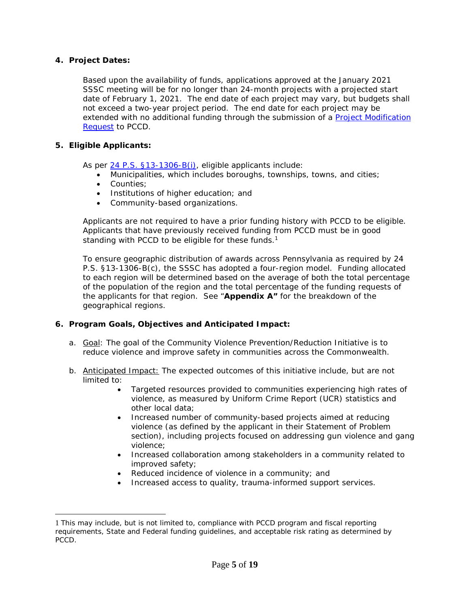### **4. Project Dates:**

Based upon the availability of funds, applications approved at the January 2021 SSSC meeting will be for no longer than 24-month projects with a projected start date of February 1, 2021. The end date of each project may vary, but budgets shall not exceed a two-year project period. The end date for each project may be extended with no additional funding through the submission of a [Project Modification](https://www.pccd.pa.gov/schoolsafety/Documents/Technical%20Assistance/PMR%20Information%20Sheet%20(PDF).pdf)  [Request](https://www.pccd.pa.gov/schoolsafety/Documents/Technical%20Assistance/PMR%20Information%20Sheet%20(PDF).pdf) to PCCD.

#### **5. Eligible Applicants:**

As per [24 P.S. §13-1306-B\(i\),](https://www.legis.state.pa.us/cfdocs/legis/LI/uconsCheck.cfm?txtType=HTM&yr=1949&sessInd=0&smthLwInd=0&act=14&chpt=13B&sctn=6&subsctn=0) eligible applicants include:

- Municipalities, which includes boroughs, townships, towns, and cities;
- Counties:
- Institutions of higher education; and
- Community-based organizations.

Applicants are not required to have a prior funding history with PCCD to be eligible. Applicants that have previously received funding from PCCD must be in good standing with PCCD to be eligible for these funds. $1$ 

To ensure geographic distribution of awards across Pennsylvania as required by 24 P.S. §13-1306-B(c), the SSSC has adopted a four-region model. Funding allocated to each region will be determined based on the average of both the total percentage of the population of the region and the total percentage of the funding requests of the applicants for that region. See "**Appendix A"** for the breakdown of the geographical regions.

#### **6. Program Goals, Objectives and Anticipated Impact:**

- a. Goal: The goal of the Community Violence Prevention/Reduction Initiative is to reduce violence and improve safety in communities across the Commonwealth.
- b. **Anticipated Impact:** The expected outcomes of this initiative include, but are not limited to:
	- Targeted resources provided to communities experiencing high rates of violence, as measured by Uniform Crime Report (UCR) statistics and other local data;
	- Increased number of community-based projects aimed at reducing violence (as defined by the applicant in their Statement of Problem section), including projects focused on addressing gun violence and gang violence;
	- Increased collaboration among stakeholders in a community related to improved safety;
	- Reduced incidence of violence in a community; and
	- Increased access to quality, trauma-informed support services.

<sup>1</sup> This may include, but is not limited to, compliance with PCCD program and fiscal reporting requirements, State and Federal funding guidelines, and acceptable risk rating as determined by PCCD.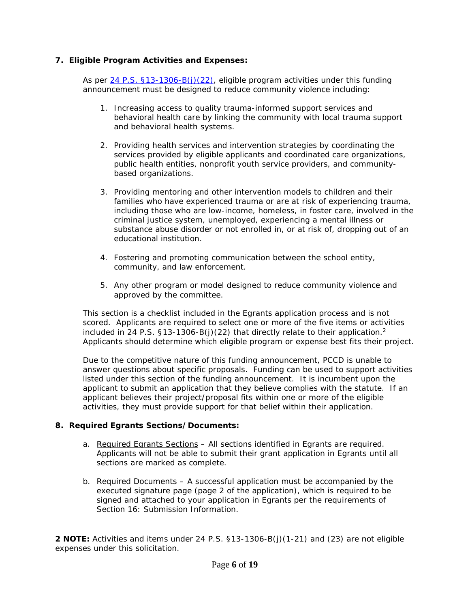## **7. Eligible Program Activities and Expenses:**

As per [24 P.S. §13-1306-B\(j\)\(22\),](https://www.legis.state.pa.us/cfdocs/legis/LI/uconsCheck.cfm?txtType=HTM&yr=1949&sessInd=0&smthLwInd=0&act=14&chpt=13B&sctn=6&subsctn=0) eligible program activities under this funding announcement must be designed to reduce community violence including:

- 1. Increasing access to quality trauma-informed support services and behavioral health care by linking the community with local trauma support and behavioral health systems.
- 2. Providing health services and intervention strategies by coordinating the services provided by eligible applicants and coordinated care organizations, public health entities, nonprofit youth service providers, and communitybased organizations.
- 3. Providing mentoring and other intervention models to children and their families who have experienced trauma or are at risk of experiencing trauma, including those who are low-income, homeless, in foster care, involved in the criminal justice system, unemployed, experiencing a mental illness or substance abuse disorder or not enrolled in, or at risk of, dropping out of an educational institution.
- 4. Fostering and promoting communication between the school entity, community, and law enforcement.
- 5. Any other program or model designed to reduce community violence and approved by the committee.

This section is a checklist included in the Egrants application process and is not scored. Applicants are required to select one or more of the five items or activities included in 24 P.S. §13-1306-B(j)(22) that directly relate to their application.<sup>2</sup> Applicants should determine which eligible program or expense best fits their project.

Due to the competitive nature of this funding announcement, PCCD is unable to answer questions about specific proposals. Funding can be used to support activities listed under this section of the funding announcement. It is incumbent upon the applicant to submit an application that they believe complies with the statute. If an applicant believes their project/proposal fits within one or more of the eligible activities, they must provide support for that belief within their application.

## **8. Required Egrants Sections/Documents:**

- a. Required Egrants Sections All sections identified in Egrants are required. Applicants will not be able to submit their grant application in Egrants until all sections are marked as complete.
- b. Required Documents A successful application must be accompanied by the executed signature page (page 2 of the application), which is required to be signed and attached to your application in Egrants per the requirements of Section 16: Submission Information.

**<sup>2</sup> NOTE:** Activities and items under 24 P.S. §13-1306-B(j)(1-21) and (23) are not eligible expenses under this solicitation.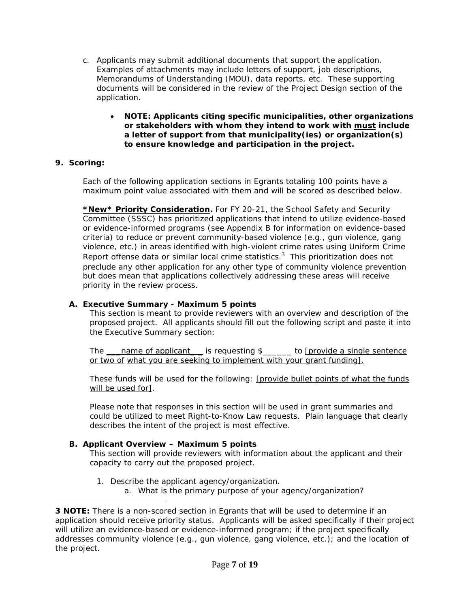- c. Applicants may submit additional documents that support the application. Examples of attachments may include letters of support, job descriptions, Memorandums of Understanding (MOU), data reports, etc. These supporting documents will be considered in the review of the Project Design section of the application.
	- **NOTE: Applicants citing specific municipalities, other organizations or stakeholders with whom they intend to work with must include a letter of support from that municipality(ies) or organization(s) to ensure knowledge and participation in the project.**

## **9. Scoring:**

Each of the following application sections in Egrants totaling 100 points have a maximum point value associated with them and will be scored as described below.

**\*New\* Priority Consideration.** For FY 20-21, the School Safety and Security Committee (SSSC) has prioritized applications that intend to utilize evidence-based or evidence-informed programs (see Appendix B for information on evidence-based criteria) to reduce or prevent community-based violence (e.g., gun violence, gang violence, etc.) in areas identified with high-violent crime rates using Uniform Crime Report offense data or similar local crime statistics. $3\,$  This prioritization does not preclude any other application for any other type of community violence prevention but does mean that applications collectively addressing these areas will receive priority in the review process.

## **A. Executive Summary - Maximum 5 points**

This section is meant to provide reviewers with an overview and description of the proposed project. All applicants should fill out the following script and paste it into the Executive Summary section:

The *\_\_\_name of applicant\_ \_* is requesting \$*\_\_\_\_\_\_* to *[provide a single sentence or two of what you are seeking to implement with your grant funding]*.

These funds will be used for the following: *[provide bullet points of what the funds will be used for]*.

Please note that responses in this section will be used in grant summaries and could be utilized to meet Right-to-Know Law requests. Plain language that clearly describes the intent of the project is most effective.

## **B. Applicant Overview – Maximum 5 points**

This section will provide reviewers with information about the applicant and their capacity to carry out the proposed project.

1. Describe the applicant agency/organization. a. What is the primary purpose of your agency/organization?

**<sup>3</sup> NOTE:** There is a non-scored section in Egrants that will be used to determine if an application should receive priority status. Applicants will be asked specifically if their project will utilize an evidence-based or evidence-informed program; if the project specifically addresses community violence (e.g., gun violence, gang violence, etc.); and the location of the project.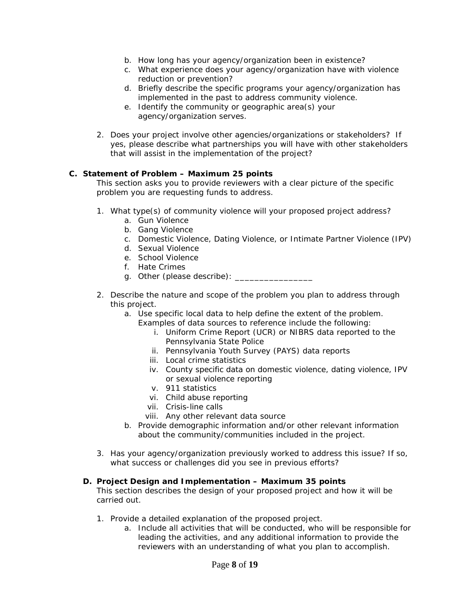- b. How long has your agency/organization been in existence?
- c. What experience does your agency/organization have with violence reduction or prevention?
- d. Briefly describe the specific programs your agency/organization has implemented in the past to address community violence.
- e. Identify the community or geographic area(s) your agency/organization serves.
- 2. Does your project involve other agencies/organizations or stakeholders? If yes, please describe what partnerships you will have with other stakeholders that will assist in the implementation of the project?

#### **C. Statement of Problem – Maximum 25 points**

This section asks you to provide reviewers with a clear picture of the specific problem you are requesting funds to address.

- 1. What type(s) of community violence will your proposed project address?
	- a. Gun Violence
	- b. Gang Violence
	- c. Domestic Violence, Dating Violence, or Intimate Partner Violence (IPV)
	- d. Sexual Violence
	- e. School Violence
	- f. Hate Crimes
	- g. Other (please describe): \_\_\_\_\_\_\_\_\_\_\_\_
- 2. Describe the nature and scope of the problem you plan to address through this project.
	- a. Use specific local data to help define the extent of the problem.
		- Examples of data sources to reference include the following:
			- i. Uniform Crime Report (UCR) or NIBRS data reported to the Pennsylvania State Police
			- ii. Pennsylvania Youth Survey (PAYS) data reports
			- iii. Local crime statistics
			- iv. County specific data on domestic violence, dating violence, IPV or sexual violence reporting
			- v. 911 statistics
			- vi. Child abuse reporting
			- vii. Crisis-line calls
			- viii. Any other relevant data source
	- b. Provide demographic information and/or other relevant information about the community/communities included in the project.
- 3. Has your agency/organization previously worked to address this issue? If so, what success or challenges did you see in previous efforts?

## **D. Project Design and Implementation – Maximum 35 points**

This section describes the design of your proposed project and how it will be carried out.

- 1. Provide a detailed explanation of the proposed project.
	- a. Include all activities that will be conducted, who will be responsible for leading the activities, and any additional information to provide the reviewers with an understanding of what you plan to accomplish.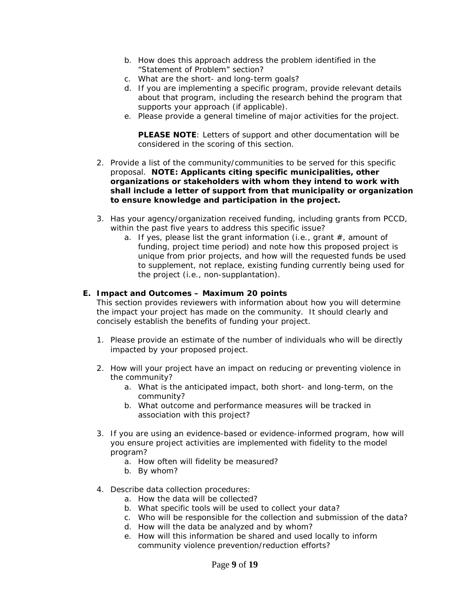- b. How does this approach address the problem identified in the "Statement of Problem" section?
- c. What are the short- and long-term goals?
- d. If you are implementing a specific program, provide relevant details about that program, including the research behind the program that supports your approach (if applicable).
- e. Please provide a general timeline of major activities for the project.

**PLEASE NOTE**: Letters of support and other documentation will be considered in the scoring of this section.

- 2. Provide a list of the community/communities to be served for this specific proposal. **NOTE: Applicants citing specific municipalities, other organizations or stakeholders with whom they intend to work with shall include a letter of support from that municipality or organization to ensure knowledge and participation in the project.**
- 3. Has your agency/organization received funding, including grants from PCCD, within the past five years to address this specific issue?
	- a. If yes, please list the grant information (i.e., grant  $#$ , amount of funding, project time period) and note how this proposed project is unique from prior projects, and how will the requested funds be used to supplement, not replace, existing funding currently being used for the project (i.e., non-supplantation).

#### **E. Impact and Outcomes – Maximum 20 points**

This section provides reviewers with information about how you will determine the impact your project has made on the community. It should clearly and concisely establish the benefits of funding your project.

- 1. Please provide an estimate of the number of individuals who will be directly impacted by your proposed project.
- 2. How will your project have an impact on reducing or preventing violence in the community?
	- a. What is the anticipated impact, both short- and long-term, on the community?
	- b. What outcome and performance measures will be tracked in association with this project?
- 3. If you are using an evidence-based or evidence-informed program, how will you ensure project activities are implemented with fidelity to the model program?
	- a. How often will fidelity be measured?
	- b. By whom?
- 4. Describe data collection procedures:
	- a. How the data will be collected?
	- b. What specific tools will be used to collect your data?
	- c. Who will be responsible for the collection and submission of the data?
	- d. How will the data be analyzed and by whom?
	- e. How will this information be shared and used locally to inform community violence prevention/reduction efforts?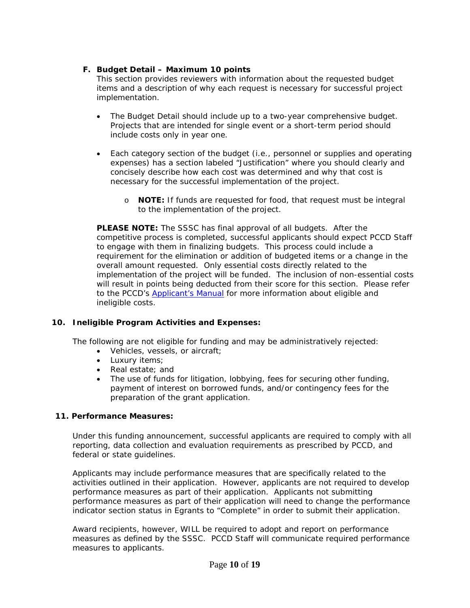## **F. Budget Detail – Maximum 10 points**

This section provides reviewers with information about the requested budget items and a description of why each request is necessary for successful project implementation.

- The Budget Detail should include up to a two-year comprehensive budget. Projects that are intended for single event or a short-term period should include costs only in year one.
- Each category section of the budget (i.e., personnel or supplies and operating expenses) has a section labeled "Justification" where you should clearly and concisely describe how each cost was determined and why that cost is necessary for the successful implementation of the project.
	- o **NOTE:** If funds are requested for food, that request must be integral to the implementation of the project.

**PLEASE NOTE:** The SSSC has final approval of all budgets. After the competitive process is completed, successful applicants should expect PCCD Staff to engage with them in finalizing budgets. This process could include a requirement for the elimination or addition of budgeted items or a change in the overall amount requested. Only essential costs directly related to the implementation of the project will be funded. The inclusion of non-essential costs will result in points being deducted from their score for this section. Please refer to the PCCD's **Applicant's Manual** for more information about eligible and ineligible costs.

## **10. Ineligible Program Activities and Expenses:**

The following are not eligible for funding and may be administratively rejected:

- Vehicles, vessels, or aircraft;
- Luxury items;
- Real estate; and
- The use of funds for litigation, lobbying, fees for securing other funding, payment of interest on borrowed funds, and/or contingency fees for the preparation of the grant application.

## **11. Performance Measures:**

Under this funding announcement, successful applicants are required to comply with all reporting, data collection and evaluation requirements as prescribed by PCCD, and federal or state guidelines.

Applicants may include performance measures that are specifically related to the activities outlined in their application. However, applicants are not required to develop performance measures as part of their application. Applicants not submitting performance measures as part of their application will need to change the performance indicator section status in Egrants to "Complete" in order to submit their application.

Award recipients, however, WILL be required to adopt and report on performance measures as defined by the SSSC. PCCD Staff will communicate required performance measures to applicants.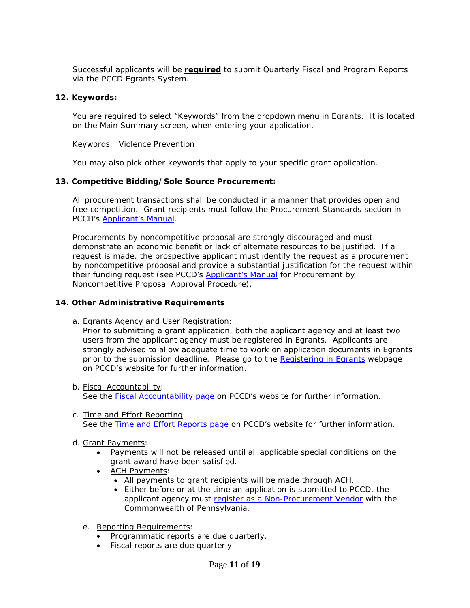Successful applicants will be **required** to submit Quarterly Fiscal and Program Reports via the PCCD Egrants System.

#### **12. Keywords:**

You are required to select "Keywords" from the dropdown menu in Egrants. It is located on the Main Summary screen, when entering your application.

Keywords: Violence Prevention

You may also pick other keywords that apply to your specific grant application.

#### **13. Competitive Bidding/Sole Source Procurement:**

All procurement transactions shall be conducted in a manner that provides open and free competition. Grant recipients must follow the Procurement Standards section in PCCD's [Applicant's Manual.](http://www.pccd.pa.gov/Funding/Documents/Applicants%20Manual/Applicant%27s%20Manual%20-%20Current%20Version.pdf)

Procurements by noncompetitive proposal are strongly discouraged and must demonstrate an economic benefit or lack of alternate resources to be justified. If a request is made, the prospective applicant must identify the request as a procurement by noncompetitive proposal and provide a substantial justification for the request within their funding request (see PCCD's [Applicant's Manual](http://www.pccd.pa.gov/Funding/Documents/Applicants%20Manual/Applicant%27s%20Manual%20-%20Current%20Version.pdf) for Procurement by Noncompetitive Proposal Approval Procedure).

#### **14. Other Administrative Requirements**

a. Egrants Agency and User Registration:

Prior to submitting a grant application, both the applicant agency and at least two users from the applicant agency must be registered in Egrants. Applicants are strongly advised to allow adequate time to work on application documents in Egrants prior to the submission deadline. Please go to the [Registering in Egrants](http://www.pccd.pa.gov/Funding/Pages/How-to-Get-and-Manage-Funds.aspx) webpage on PCCD's website for further information.

- b. Fiscal Accountability: See the **Fiscal Accountability page** on PCCD's website for further information.
- c. Time and Effort Reporting: See the [Time and Effort Reports page](http://www.pccd.pa.gov/Funding/Pages/The-PCCD-Funding-and-Grants-Process-Time-and-Effort-Reports.aspx) on PCCD's website for further information.
- d. Grant Payments:
	- Payments will not be released until all applicable special conditions on the grant award have been satisfied.
	- ACH Payments:
		- All payments to grant recipients will be made through ACH.
		- Either before or at the time an application is submitted to PCCD, the applicant agency must [register as a Non-Procurement Vendor](https://www.myworkplace.state.pa.us:448/sap/bc/webdynpro/sap/zm_vendor_reg) with the Commonwealth of Pennsylvania.
	- e. Reporting Requirements:
		- Programmatic reports are due quarterly.
		- Fiscal reports are due quarterly.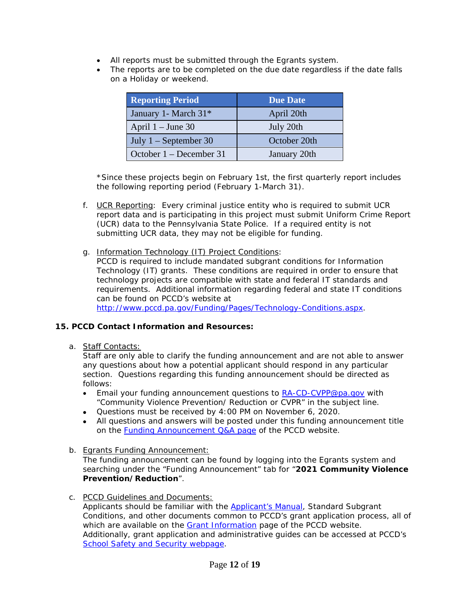- All reports must be submitted through the Egrants system.
- The reports are to be completed on the due date regardless if the date falls on a Holiday or weekend.

| <b>Reporting Period</b>           | <b>Due Date</b> |
|-----------------------------------|-----------------|
| January 1 - March 31 <sup>*</sup> | April 20th      |
| April $1 -$ June 30               | July 20th       |
| July $1 -$ September 30           | October 20th    |
| October 1 – December 31           | January 20th    |

\*Since these projects begin on February 1st, the first quarterly report includes the following reporting period (February 1-March 31).

- f. UCR Reporting: Every criminal justice entity who is required to submit UCR report data and is participating in this project must submit Uniform Crime Report (UCR) data to the Pennsylvania State Police. If a required entity is not submitting UCR data, they may not be eligible for funding.
- g. Information Technology (IT) Project Conditions:
	- PCCD is required to include mandated subgrant conditions for Information Technology (IT) grants. These conditions are required in order to ensure that technology projects are compatible with state and federal IT standards and requirements. Additional information regarding federal and state IT conditions can be found on PCCD's website at [http://www.pccd.pa.gov/Funding/Pages/Technology-Conditions.aspx.](http://www.pccd.pa.gov/Funding/Pages/Technology-Conditions.aspx)

#### **15. PCCD Contact Information and Resources:**

a. Staff Contacts:

Staff are only able to clarify the funding announcement and are not able to answer any questions about how a potential applicant should respond in any particular section. Questions regarding this funding announcement should be directed as follows:

- **Email your funding announcement questions to [RA-CD-CVPP@pa.gov](mailto:RA-CD-CVPP@pa.gov) with** "Community Violence Prevention/ Reduction or CVPR" in the subject line.
- Questions must be received by 4:00 PM on November 6, 2020.
- All questions and answers will be posted under this funding announcement title on the [Funding Announcement Q&A page](http://www.pccd.pa.gov/Funding/Pages/Funding-Announcement-QA.aspx) of the PCCD website.
- b. Egrants Funding Announcement:

The funding announcement can be found by logging into the Egrants system and searching under the "Funding Announcement" tab for "**2021 Community Violence Prevention/Reduction**".

c. PCCD Guidelines and Documents:

Applicants should be familiar with the [Applicant's Manual,](http://www.pccd.pa.gov/Funding/Documents/Applicants%20Manual/Applicant%27s%20Manual%20-%20Current%20Version.pdf) Standard Subgrant Conditions, and other documents common to PCCD's grant application process, all of which are available on the [Grant Information](http://www.pccd.pa.gov/Funding/Pages/The-PCCD-Funding-and-Grants-Process-Available-Grants-and-Contact.aspx) page of the PCCD website. Additionally, grant application and administrative guides can be accessed at PCCD's [School Safety and Security webpage.](https://www.pccd.pa.gov/schoolsafety/Pages/default.aspx)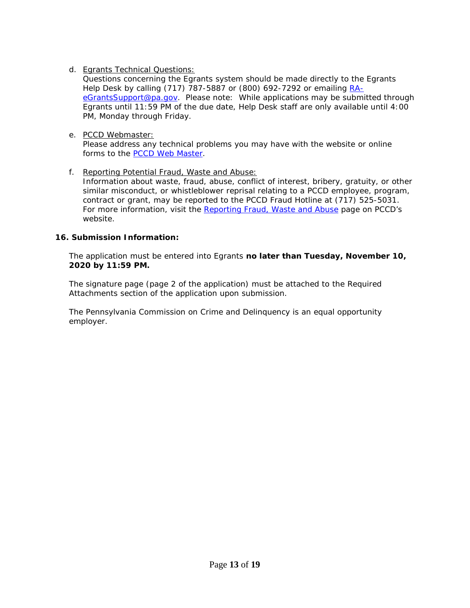d. Egrants Technical Questions:

Questions concerning the Egrants system should be made directly to the Egrants Help Desk by calling (717) 787-5887 or (800) 692-7292 or emailing [RA](mailto:RA-eGrantsSupport@pa.gov)[eGrantsSupport@pa.gov.](mailto:RA-eGrantsSupport@pa.gov) *Please note: While applications may be submitted through Egrants until 11:59 PM of the due date, Help Desk staff are only available until 4:00 PM, Monday through Friday.* 

e. PCCD Webmaster:

Please address any technical problems you may have with the website or online forms to the [PCCD Web Master.](mailto:ra-pccdwebmaster@pa.gov)

f. Reporting Potential Fraud, Waste and Abuse:

Information about waste, fraud, abuse, conflict of interest, bribery, gratuity, or other similar misconduct, or whistleblower reprisal relating to a PCCD employee, program, contract or grant, may be reported to the PCCD Fraud Hotline at (717) 525-5031. For more information, visit the [Reporting Fraud, Waste and Abuse](https://www.pccd.pa.gov/Funding/Pages/Reporting-Fraud,-Waste-and-Abuse.aspx) page on PCCD's website.

#### **16. Submission Information:**

The application must be entered into Egrants **no later than Tuesday, November 10, 2020 by 11:59 PM.** 

The signature page (page 2 of the application) must be attached to the Required Attachments section of the application upon submission.

The Pennsylvania Commission on Crime and Delinquency is an equal opportunity employer.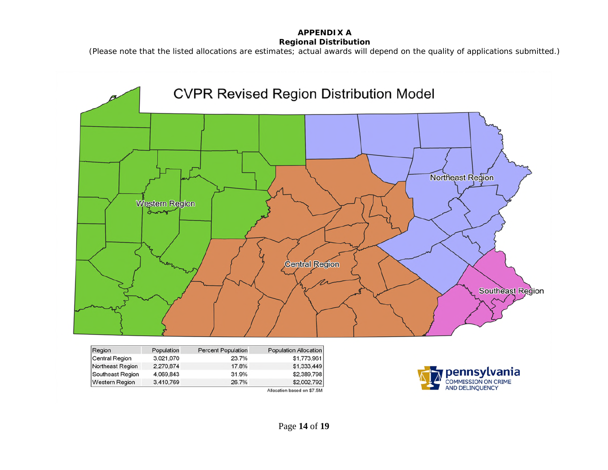### **APPENDIX A Regional Distribution**

*(Please note that the listed allocations are estimates; actual awards will depend on the quality of applications submitted.)*



| Region                | Population | <b>Percent Population</b> | <b>Population Allocation</b> |
|-----------------------|------------|---------------------------|------------------------------|
| <b>Central Region</b> | 3.021.070  | 23.7%                     | \$1,773,961                  |
| Northeast Region      | 2.270.874  | 17.8%                     | \$1,333,449                  |
| Southeast Region      | 4.069.843  | 31.9%                     | \$2,389,798                  |
| <b>Western Region</b> | 3.410.769  | 26.7%                     | \$2,002,792                  |
|                       |            |                           | Allocation based on \$7.5M   |

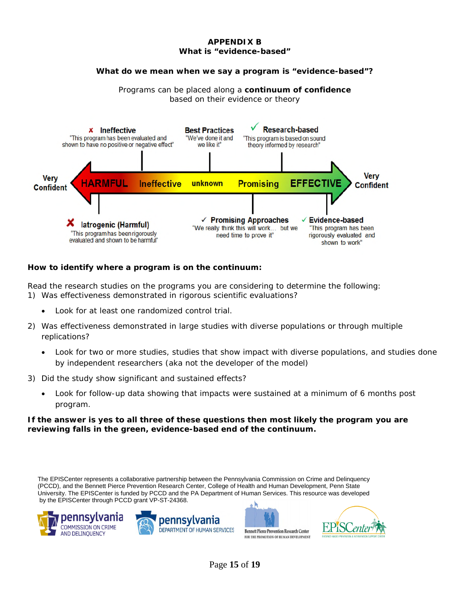#### **APPENDIX B What is "evidence-based"**

#### **What do we mean when we say a program is "evidence-based"?**

Programs can be placed along a **continuum of confidence** based on their evidence or theory



#### **How to identify where a program is on the continuum:**

Read the research studies on the programs you are considering to determine the following: 1) Was effectiveness demonstrated in rigorous scientific evaluations?

- Look for at least one randomized control trial.
- 2) Was effectiveness demonstrated in large studies with diverse populations or through multiple replications?
	- Look for two or more studies, studies that show impact with diverse populations, and studies done by independent researchers (aka not the developer of the model)
- 3) Did the study show significant and sustained effects?
	- Look for follow-up data showing that impacts were sustained at a minimum of 6 months post program.

#### **If the answer is yes to all three of these questions then most likely the program you are reviewing falls in the green, evidence-based end of the continuum.**

The EPISCenter represents a collaborative partnership between the Pennsylvania Commission on Crime and Delinquency (PCCD), and the Bennett Pierce Prevention Research Center, College of Health and Human Development, Penn State University. The EPISCenter is funded by PCCD and the PA Department of Human Services. This resource was developed by the EPISCenter through PCCD grant VP-ST-24368.







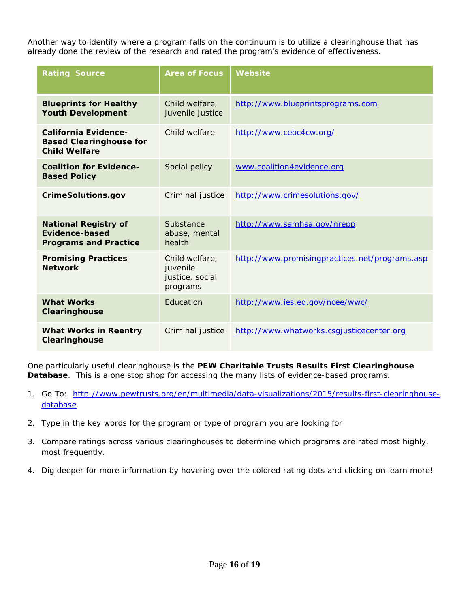Another way to identify where a program falls on the continuum is to utilize a clearinghouse that has already done the review of the research and rated the program's evidence of effectiveness.

| <b>Rating Source</b>                                                                  | <b>Area of Focus</b>                                      | Website                                        |
|---------------------------------------------------------------------------------------|-----------------------------------------------------------|------------------------------------------------|
| <b>Blueprints for Healthy</b><br><b>Youth Development</b>                             | Child welfare,<br>juvenile justice                        | http://www.blueprintsprograms.com              |
| <b>California Evidence-</b><br><b>Based Clearinghouse for</b><br><b>Child Welfare</b> | Child welfare                                             | http://www.cebc4cw.org/                        |
| <b>Coalition for Evidence-</b><br><b>Based Policy</b>                                 | Social policy                                             | www.coalition4evidence.org                     |
| <b>CrimeSolutions.gov</b>                                                             | Criminal justice                                          | http://www.crimesolutions.gov/                 |
| <b>National Registry of</b><br>Evidence-based<br><b>Programs and Practice</b>         | Substance<br>abuse, mental<br>health                      | http://www.samhsa.gov/nrepp                    |
| <b>Promising Practices</b><br><b>Network</b>                                          | Child welfare,<br>juvenile<br>justice, social<br>programs | http://www.promisingpractices.net/programs.asp |
| <b>What Works</b><br>Clearinghouse                                                    | Education                                                 | http://www.ies.ed.gov/ncee/wwc/                |
| <b>What Works in Reentry</b><br>Clearinghouse                                         | Criminal justice                                          | http://www.whatworks.csgjusticecenter.org      |

One particularly useful clearinghouse is the **PEW Charitable Trusts Results First Clearinghouse Database**. This is a one stop shop for accessing the many lists of evidence-based programs.

- 1. Go To: [http://www.pewtrusts.org/en/multimedia/data-visualizations/2015/results-first-clearinghouse](http://www.pewtrusts.org/en/multimedia/data-visualizations/2015/results-first-clearinghouse-database)[database](http://www.pewtrusts.org/en/multimedia/data-visualizations/2015/results-first-clearinghouse-database)
- 2. Type in the key words for the program or type of program you are looking for
- 3. Compare ratings across various clearinghouses to determine which programs are rated most highly, most frequently.
- 4. Dig deeper for more information by hovering over the colored rating dots and clicking on learn more!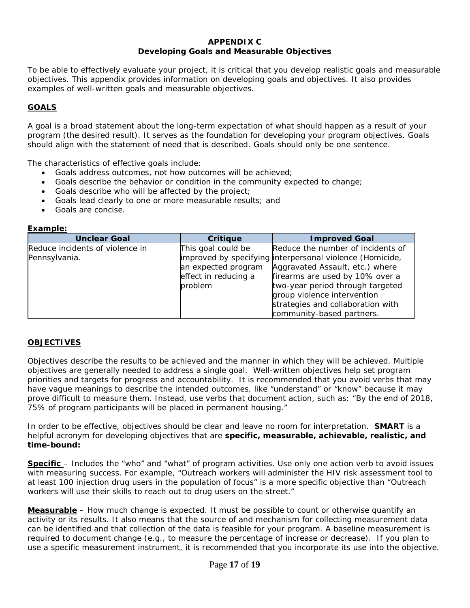#### **APPENDIX C Developing Goals and Measurable Objectives**

To be able to effectively evaluate your project, it is critical that you develop realistic goals and measurable objectives. This appendix provides information on developing goals and objectives. It also provides examples of well-written goals and measurable objectives.

## **GOALS**

A goal is a broad statement about the long-term expectation of what should happen as a result of your program (the desired result). It serves as the foundation for developing your program objectives. Goals should align with the statement of need that is described. Goals should only be one sentence.

The characteristics of effective goals include:

- Goals address outcomes, not how outcomes will be achieved;
- Goals describe the behavior or condition in the community expected to change;
- Goals describe who will be affected by the project;
- Goals lead clearly to one or more measurable results; and
- Goals are concise.

| <b>Example:</b> |  |
|-----------------|--|
|                 |  |

| <b>Unclear Goal</b>             | <b>Critique</b>      | <b>Improved Goal</b>                                     |
|---------------------------------|----------------------|----------------------------------------------------------|
| Reduce incidents of violence in | This goal could be   | Reduce the number of incidents of                        |
| Pennsylvania.                   |                      | improved by specifying interpersonal violence (Homicide, |
|                                 | an expected program  | Aggravated Assault, etc.) where                          |
|                                 | effect in reducing a | firearms are used by 10% over a                          |
|                                 | problem              | two-year period through targeted                         |
|                                 |                      | group violence intervention                              |
|                                 |                      | strategies and collaboration with                        |
|                                 |                      | community-based partners.                                |

## **OBJECTIVES**

Objectives describe the results to be achieved and the manner in which they will be achieved. Multiple objectives are generally needed to address a single goal. Well-written objectives help set program priorities and targets for progress and accountability. It is recommended that you avoid verbs that may have vague meanings to describe the intended outcomes, like "understand" or "know" because it may prove difficult to measure them. Instead, use verbs that document action, such as: "By the end of 2018, 75% of program participants will be *placed* in permanent housing."

In order to be effective, objectives should be clear and leave no room for interpretation. **SMART** is a helpful acronym for developing objectives that are *specific, measurable, achievable, realistic, and time-bound***:**

**Specific** – Includes the "who" and "what" of program activities. Use only one action verb to avoid issues with measuring success. For example, "Outreach workers will administer the HIV risk assessment tool to at least 100 injection drug users in the population of focus" is a more specific objective than "Outreach workers will use their skills to reach out to drug users on the street."

*Measurable* – How much change is expected. It must be possible to count or otherwise quantify an activity or its results. It also means that the source of and mechanism for collecting measurement data can be identified and that collection of the data is feasible for your program. A baseline measurement is required to document change (e.g., to measure the percentage of increase or decrease). If you plan to use a specific measurement instrument, it is recommended that you incorporate its use into the objective.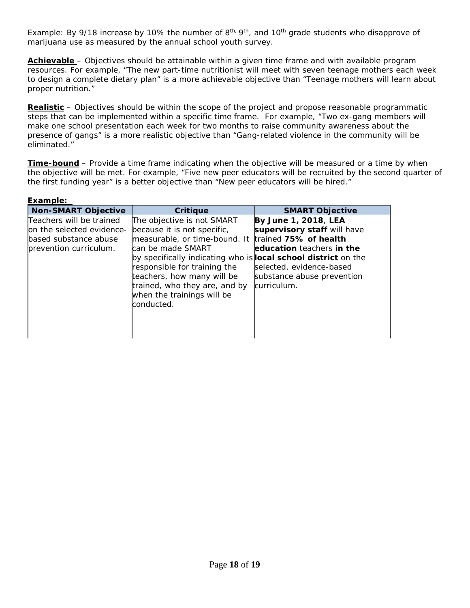Example: By 9/18 increase by 10% the number of  $8<sup>th</sup>$ ,  $9<sup>th</sup>$ , and 10<sup>th</sup> grade students who disapprove of marijuana use as measured by the annual school youth survey.

*Achievable –* Objectives should be attainable within a given time frame and with available program resources. For example, "The new part-time nutritionist will meet with seven teenage mothers each week to design a complete dietary plan" is a more achievable objective than "Teenage mothers will learn about proper nutrition."

*Realistic –* Objectives should be within the scope of the project and propose reasonable programmatic steps that can be implemented within a specific time frame. For example, "Two ex-gang members will make one school presentation each week for two months to raise community awareness about the presence of gangs" is a more realistic objective than "Gang-related violence in the community will be eliminated."

*Time-bound* – Provide a time frame indicating when the objective will be measured or a time by when the objective will be met. For example, "Five new peer educators will be recruited by the second quarter of the first funding year" is a better objective than "New peer educators will be hired."

| Example:                                                                                                 |                                                                                                                                                                                                                                                                                                                                     |                                                                                                                                                                                    |
|----------------------------------------------------------------------------------------------------------|-------------------------------------------------------------------------------------------------------------------------------------------------------------------------------------------------------------------------------------------------------------------------------------------------------------------------------------|------------------------------------------------------------------------------------------------------------------------------------------------------------------------------------|
| <b>Non-SMART Objective</b>                                                                               | Critique                                                                                                                                                                                                                                                                                                                            | <b>SMART Objective</b>                                                                                                                                                             |
| Teachers will be trained<br>on the selected evidence-<br>based substance abuse<br>prevention curriculum. | The objective is not SMART<br>because it is not specific,<br>measurable, or time-bound. It<br>can be made SMART<br>by specifically indicating who is <b>local school district</b> on the<br>responsible for training the<br>teachers, how many will be<br>trained, who they are, and by<br>when the trainings will be<br>conducted. | By June 1, 2018, LEA<br>supervisory staff will have<br>trained 75% of health<br>education teachers in the<br>selected, evidence-based<br>substance abuse prevention<br>curriculum. |
|                                                                                                          |                                                                                                                                                                                                                                                                                                                                     |                                                                                                                                                                                    |